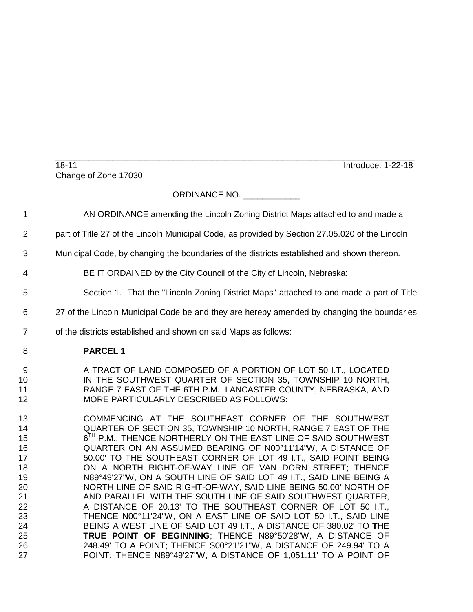\_\_\_\_\_\_\_\_\_\_\_\_\_\_\_\_\_\_\_\_\_\_\_\_\_\_\_\_\_\_\_\_\_\_\_\_\_\_\_\_\_\_\_\_\_\_\_\_\_\_\_\_\_\_\_\_\_\_\_\_\_\_\_\_\_\_\_\_\_\_\_\_\_\_\_\_ 18-11 Introduce: 1-22-18 Change of Zone 17030

## ORDINANCE NO.

- AN ORDINANCE amending the Lincoln Zoning District Maps attached to and made a
- part of Title 27 of the Lincoln Municipal Code, as provided by Section 27.05.020 of the Lincoln
- Municipal Code, by changing the boundaries of the districts established and shown thereon.
- BE IT ORDAINED by the City Council of the City of Lincoln, Nebraska:
- Section 1. That the "Lincoln Zoning District Maps" attached to and made a part of Title
- 27 of the Lincoln Municipal Code be and they are hereby amended by changing the boundaries
- of the districts established and shown on said Maps as follows:
- **PARCEL 1**
- 9 A TRACT OF LAND COMPOSED OF A PORTION OF LOT 50 I.T., LOCATED IN THE SOUTHWEST QUARTER OF SECTION 35, TOWNSHIP 10 NORTH, RANGE 7 EAST OF THE 6TH P.M., LANCASTER COUNTY, NEBRASKA, AND MORE PARTICULARLY DESCRIBED AS FOLLOWS:
- COMMENCING AT THE SOUTHEAST CORNER OF THE SOUTHWEST QUARTER OF SECTION 35, TOWNSHIP 10 NORTH, RANGE 7 EAST OF THE **15 P.M.; THENCE NORTHERLY ON THE EAST LINE OF SAID SOUTHWEST**  QUARTER ON AN ASSUMED BEARING OF N00°11'14"W, A DISTANCE OF 50.00' TO THE SOUTHEAST CORNER OF LOT 49 I.T., SAID POINT BEING ON A NORTH RIGHT-OF-WAY LINE OF VAN DORN STREET; THENCE N89°49'27"W, ON A SOUTH LINE OF SAID LOT 49 I.T., SAID LINE BEING A 20 NORTH LINE OF SAID RIGHT-OF-WAY, SAID LINE BEING 50.00' NORTH OF<br>21 AND PARALLEL WITH THE SOUTH LINE OF SAID SOUTHWEST QUARTER, AND PARALLEL WITH THE SOUTH LINE OF SAID SOUTHWEST QUARTER, A DISTANCE OF 20.13' TO THE SOUTHEAST CORNER OF LOT 50 I.T., THENCE N00°11'24"W, ON A EAST LINE OF SAID LOT 50 I.T., SAID LINE BEING A WEST LINE OF SAID LOT 49 I.T., A DISTANCE OF 380.02' TO **THE TRUE POINT OF BEGINNING**; THENCE N89°50'28"W, A DISTANCE OF 248.49' TO A POINT; THENCE S00°21'21"W, A DISTANCE OF 249.94' TO A POINT; THENCE N89°49'27"W, A DISTANCE OF 1,051.11' TO A POINT OF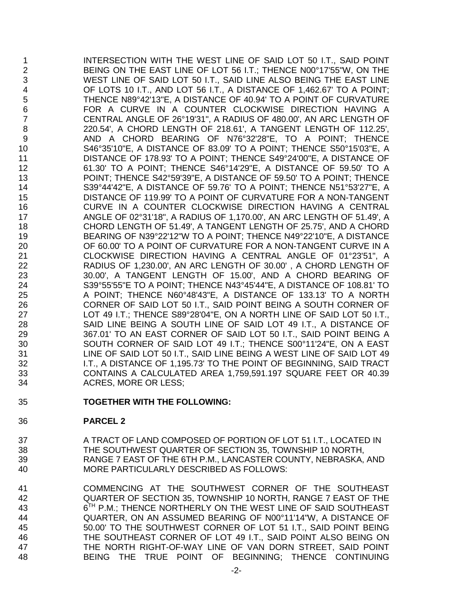INTERSECTION WITH THE WEST LINE OF SAID LOT 50 I.T., SAID POINT BEING ON THE EAST LINE OF LOT 56 I.T.; THENCE N00°17'55"W, ON THE WEST LINE OF SAID LOT 50 I.T., SAID LINE ALSO BEING THE EAST LINE OF LOTS 10 I.T., AND LOT 56 I.T., A DISTANCE OF 1,462.67' TO A POINT; THENCE N89°42'13"E, A DISTANCE OF 40.94' TO A POINT OF CURVATURE FOR A CURVE IN A COUNTER CLOCKWISE DIRECTION HAVING A CENTRAL ANGLE OF 26°19'31", A RADIUS OF 480.00', AN ARC LENGTH OF 220.54', A CHORD LENGTH OF 218.61', A TANGENT LENGTH OF 112.25', 9 AND A CHORD BEARING OF N76°32'28"E, TO A POINT; THENCE S46°35'10"E, A DISTANCE OF 83.09' TO A POINT; THENCE S50°15'03"E, A DISTANCE OF 178.93' TO A POINT; THENCE S49°24'00"E, A DISTANCE OF 61.30' TO A POINT; THENCE S46°14'29"E, A DISTANCE OF 59.50' TO A POINT; THENCE S42°59'39"E, A DISTANCE OF 59.50' TO A POINT; THENCE S39°44'42"E, A DISTANCE OF 59.76' TO A POINT; THENCE N51°53'27"E, A DISTANCE OF 119.99' TO A POINT OF CURVATURE FOR A NON-TANGENT CURVE IN A COUNTER CLOCKWISE DIRECTION HAVING A CENTRAL ANGLE OF 02°31'18", A RADIUS OF 1,170.00', AN ARC LENGTH OF 51.49', A CHORD LENGTH OF 51.49', A TANGENT LENGTH OF 25.75', AND A CHORD BEARING OF N39°22'12"W TO A POINT; THENCE N49°22'10"E, A DISTANCE OF 60.00' TO A POINT OF CURVATURE FOR A NON-TANGENT CURVE IN A CLOCKWISE DIRECTION HAVING A CENTRAL ANGLE OF 01°23'51", A RADIUS OF 1,230.00', AN ARC LENGTH OF 30.00' , A CHORD LENGTH OF 30.00', A TANGENT LENGTH OF 15.00', AND A CHORD BEARING OF S39°55'55"E TO A POINT; THENCE N43°45'44"E, A DISTANCE OF 108.81' TO A POINT; THENCE N60°48'43"E, A DISTANCE OF 133.13' TO A NORTH CORNER OF SAID LOT 50 I.T., SAID POINT BEING A SOUTH CORNER OF LOT 49 I.T.; THENCE S89°28'04"E, ON A NORTH LINE OF SAID LOT 50 I.T., SAID LINE BEING A SOUTH LINE OF SAID LOT 49 I.T., A DISTANCE OF 367.01' TO AN EAST CORNER OF SAID LOT 50 I.T., SAID POINT BEING A SOUTH CORNER OF SAID LOT 49 I.T.; THENCE S00°11'24"E, ON A EAST LINE OF SAID LOT 50 I.T., SAID LINE BEING A WEST LINE OF SAID LOT 49 I.T., A DISTANCE OF 1,195.73' TO THE POINT OF BEGINNING, SAID TRACT CONTAINS A CALCULATED AREA 1,759,591.197 SQUARE FEET OR 40.39 ACRES, MORE OR LESS;

**TOGETHER WITH THE FOLLOWING:**

## **PARCEL 2**

- 37 A TRACT OF LAND COMPOSED OF PORTION OF LOT 51 I.T., LOCATED IN THE SOUTHWEST QUARTER OF SECTION 35, TOWNSHIP 10 NORTH, RANGE 7 EAST OF THE 6TH P.M., LANCASTER COUNTY, NEBRASKA, AND MORE PARTICULARLY DESCRIBED AS FOLLOWS:
- COMMENCING AT THE SOUTHWEST CORNER OF THE SOUTHEAST QUARTER OF SECTION 35, TOWNSHIP 10 NORTH, RANGE 7 EAST OF THE 43 6<sup>H</sup> P.M.; THENCE NORTHERLY ON THE WEST LINE OF SAID SOUTHEAST QUARTER, ON AN ASSUMED BEARING OF N00°11'14"W, A DISTANCE OF 50.00' TO THE SOUTHWEST CORNER OF LOT 51 I.T., SAID POINT BEING THE SOUTHEAST CORNER OF LOT 49 I.T., SAID POINT ALSO BEING ON THE NORTH RIGHT-OF-WAY LINE OF VAN DORN STREET, SAID POINT BEING THE TRUE POINT OF BEGINNING; THENCE CONTINUING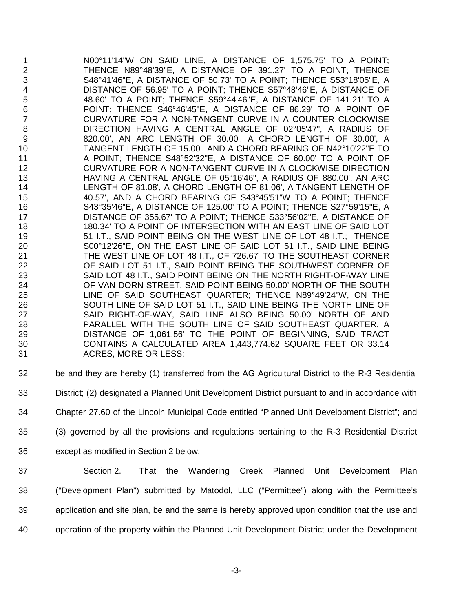1 1 N00°11'14"W ON SAID LINE, A DISTANCE OF 1,575.75' TO A POINT;<br>2 1 THENCE N89°48'39"E. A DISTANCE OF 391.27' TO A POINT: THENCE THENCE N89°48'39"E, A DISTANCE OF 391.27' TO A POINT; THENCE S48°41'46"E, A DISTANCE OF 50.73' TO A POINT; THENCE S53°18'05"E, A 4 DISTANCE OF 56.95' TO A POINT; THENCE S57°48'46"E, A DISTANCE OF 48.60' TO A POINT; THENCE S59°44'46"E, A DISTANCE OF 141.21' TO A 48.60' TO A POINT; THENCE S59°44'46"E, A DISTANCE OF 141.21' TO A POINT; THENCE S46°46'45"E, A DISTANCE OF 86.29' TO A POINT OF CURVATURE FOR A NON-TANGENT CURVE IN A COUNTER CLOCKWISE DIRECTION HAVING A CENTRAL ANGLE OF 02°05'47", A RADIUS OF 9 820.00', AN ARC LENGTH OF 30.00', A CHORD LENGTH OF 30.00', A<br>TANGENT LENGTH OF 15.00'. AND A CHORD BEARING OF N42°10'22"E TO 10 TANGENT LENGTH OF 15.00', AND A CHORD BEARING OF N42°10'22"E TO<br>11 A POINT: THENCE S48°52'32"E. A DISTANCE OF 60.00' TO A POINT OF A POINT; THENCE S48°52'32"E, A DISTANCE OF 60.00' TO A POINT OF CURVATURE FOR A NON-TANGENT CURVE IN A CLOCKWISE DIRECTION HAVING A CENTRAL ANGLE OF 05°16'46", A RADIUS OF 880.00', AN ARC LENGTH OF 81.08', A CHORD LENGTH OF 81.06', A TANGENT LENGTH OF 40.57', AND A CHORD BEARING OF S43°45'51"W TO A POINT; THENCE S43°35'46"E, A DISTANCE OF 125.00' TO A POINT; THENCE S27°59'15"E, A DISTANCE OF 355.67' TO A POINT; THENCE S33°56'02"E, A DISTANCE OF 180.34' TO A POINT OF INTERSECTION WITH AN EAST LINE OF SAID LOT 19 51 I.T., SAID POINT BEING ON THE WEST LINE OF LOT 48 I.T.; THENCE S00°12'26"E, ON THE EAST LINE OF SAID LOT 51 I.T., SAID LINE BEING THE WEST LINE OF LOT 48 I.T., OF 726.67' TO THE SOUTHEAST CORNER OF SAID LOT 51 I.T., SAID POINT BEING THE SOUTHWEST CORNER OF 23 SAID LOT 48 I.T., SAID POINT BEING ON THE NORTH RIGHT-OF-WAY LINE<br>24 OF VAN DORN STREET, SAID POINT BEING 50.00' NORTH OF THE SOUTH OF VAN DORN STREET, SAID POINT BEING 50.00' NORTH OF THE SOUTH LINE OF SAID SOUTHEAST QUARTER; THENCE N89°49'24"W, ON THE SOUTH LINE OF SAID LOT 51 I.T., SAID LINE BEING THE NORTH LINE OF SAID RIGHT-OF-WAY, SAID LINE ALSO BEING 50.00' NORTH OF AND PARALLEL WITH THE SOUTH LINE OF SAID SOUTHEAST QUARTER, A DISTANCE OF 1,061.56' TO THE POINT OF BEGINNING, SAID TRACT CONTAINS A CALCULATED AREA 1,443,774.62 SQUARE FEET OR 33.14 ACRES, MORE OR LESS;

- be and they are hereby (1) transferred from the AG Agricultural District to the R-3 Residential
- District; (2) designated a Planned Unit Development District pursuant to and in accordance with
- Chapter 27.60 of the Lincoln Municipal Code entitled "Planned Unit Development District"; and
- (3) governed by all the provisions and regulations pertaining to the R-3 Residential District
- except as modified in Section 2 below.
- Section 2. That the Wandering Creek Planned Unit Development Plan ("Development Plan") submitted by Matodol, LLC ("Permittee") along with the Permittee's application and site plan, be and the same is hereby approved upon condition that the use and operation of the property within the Planned Unit Development District under the Development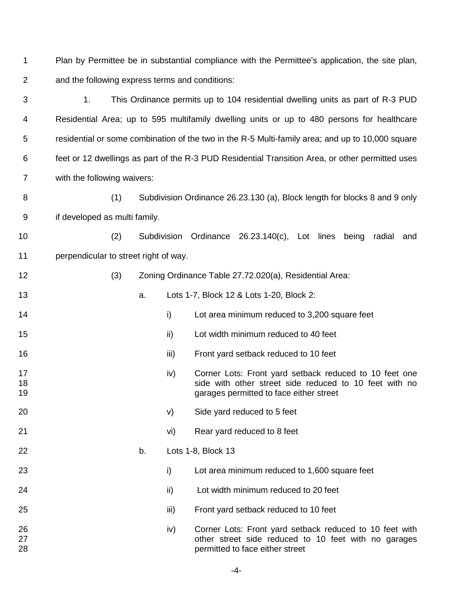Plan by Permittee be in substantial compliance with the Permittee's application, the site plan, and the following express terms and conditions:

 1. This Ordinance permits up to 104 residential dwelling units as part of R-3 PUD Residential Area; up to 595 multifamily dwelling units or up to 480 persons for healthcare residential or some combination of the two in the R-5 Multi-family area; and up to 10,000 square feet or 12 dwellings as part of the R-3 PUD Residential Transition Area, or other permitted uses with the following waivers:

 (1) Subdivision Ordinance 26.23.130 (a), Block length for blocks 8 and 9 only if developed as multi family.

(2) Subdivision Ordinance 26.23.140(c), Lot lines being radial and

perpendicular to street right of way.

| 12 | Zoning Ordinance Table 27.72.020(a), Residential Area: |
|----|--------------------------------------------------------|
|----|--------------------------------------------------------|

- a. Lots 1-7, Block 12 & Lots 1-20, Block 2:
- **i** i Lot area minimum reduced to 3,200 square feet
- ii) Lot width minimum reduced to 40 feet
- iii) Front yard setback reduced to 10 feet
- **ivideo the Corner Lots: Front yard setback reduced to 10 feet one**  side with other street side reduced to 10 feet with no garages permitted to face either street
- v) Side yard reduced to 5 feet
- vi) Rear yard reduced to 8 feet
- b. Lots 1-8, Block 13
- i) Lot area minimum reduced to 1,600 square feet
- ii) Lot width minimum reduced to 20 feet
- iii) Front yard setback reduced to 10 feet
- iv) Corner Lots: Front yard setback reduced to 10 feet with other street side reduced to 10 feet with no garages permitted to face either street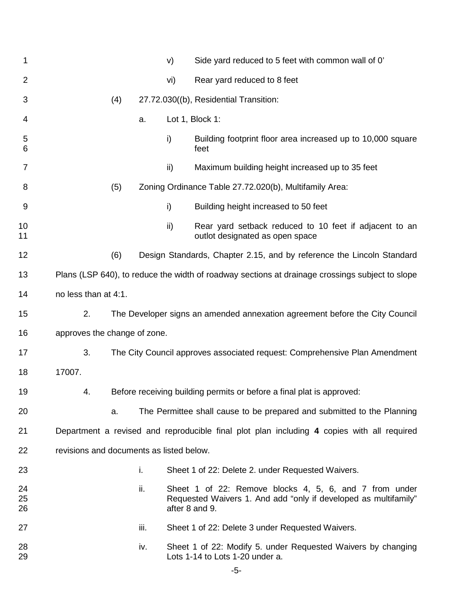| 1              |                                                                                                 |     |      | V)  | Side yard reduced to 5 feet with common wall of 0'                                                                                          |
|----------------|-------------------------------------------------------------------------------------------------|-----|------|-----|---------------------------------------------------------------------------------------------------------------------------------------------|
| $\overline{2}$ |                                                                                                 |     |      | vi) | Rear yard reduced to 8 feet                                                                                                                 |
| 3              |                                                                                                 | (4) |      |     | 27.72.030((b), Residential Transition:                                                                                                      |
| 4              |                                                                                                 |     | a.   |     | Lot 1, Block 1:                                                                                                                             |
| 5<br>6         |                                                                                                 |     |      | i)  | Building footprint floor area increased up to 10,000 square<br>feet                                                                         |
| 7              |                                                                                                 |     |      | ii) | Maximum building height increased up to 35 feet                                                                                             |
| 8              |                                                                                                 | (5) |      |     | Zoning Ordinance Table 27.72.020(b), Multifamily Area:                                                                                      |
| 9              |                                                                                                 |     |      | i)  | Building height increased to 50 feet                                                                                                        |
| 10<br>11       |                                                                                                 |     |      | ii) | Rear yard setback reduced to 10 feet if adjacent to an<br>outlot designated as open space                                                   |
| 12             |                                                                                                 | (6) |      |     | Design Standards, Chapter 2.15, and by reference the Lincoln Standard                                                                       |
| 13             | Plans (LSP 640), to reduce the width of roadway sections at drainage crossings subject to slope |     |      |     |                                                                                                                                             |
| 14             | no less than at 4:1.                                                                            |     |      |     |                                                                                                                                             |
| 15             | 2.                                                                                              |     |      |     | The Developer signs an amended annexation agreement before the City Council                                                                 |
| 16             | approves the change of zone.                                                                    |     |      |     |                                                                                                                                             |
| 17             | 3.                                                                                              |     |      |     | The City Council approves associated request: Comprehensive Plan Amendment                                                                  |
| 18             | 17007.                                                                                          |     |      |     |                                                                                                                                             |
| 19             | 4.                                                                                              |     |      |     | Before receiving building permits or before a final plat is approved:                                                                       |
| 20             |                                                                                                 | a.  |      |     | The Permittee shall cause to be prepared and submitted to the Planning                                                                      |
| 21             |                                                                                                 |     |      |     | Department a revised and reproducible final plot plan including 4 copies with all required                                                  |
| 22             | revisions and documents as listed below.                                                        |     |      |     |                                                                                                                                             |
| 23             |                                                                                                 |     | i.   |     | Sheet 1 of 22: Delete 2. under Requested Waivers.                                                                                           |
| 24<br>25<br>26 |                                                                                                 |     | ii.  |     | Sheet 1 of 22: Remove blocks 4, 5, 6, and 7 from under<br>Requested Waivers 1. And add "only if developed as multifamily"<br>after 8 and 9. |
| 27             |                                                                                                 |     | iii. |     | Sheet 1 of 22: Delete 3 under Requested Waivers.                                                                                            |
| 28<br>29       |                                                                                                 |     | iv.  |     | Sheet 1 of 22: Modify 5. under Requested Waivers by changing<br>Lots 1-14 to Lots 1-20 under a.                                             |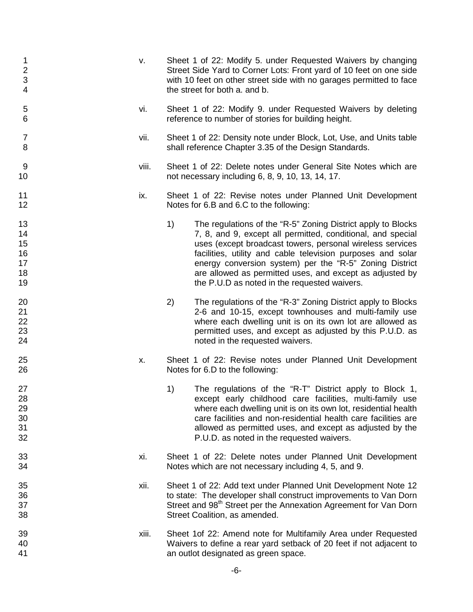| 1<br>$\frac{2}{3}$<br>$\overline{4}$   | v.    | Sheet 1 of 22: Modify 5. under Requested Waivers by changing<br>Street Side Yard to Corner Lots: Front yard of 10 feet on one side<br>with 10 feet on other street side with no garages permitted to face<br>the street for both a. and b.                                                                                                                                                                                           |
|----------------------------------------|-------|--------------------------------------------------------------------------------------------------------------------------------------------------------------------------------------------------------------------------------------------------------------------------------------------------------------------------------------------------------------------------------------------------------------------------------------|
| $\sqrt{5}$<br>6                        | vi.   | Sheet 1 of 22: Modify 9. under Requested Waivers by deleting<br>reference to number of stories for building height.                                                                                                                                                                                                                                                                                                                  |
| $\overline{7}$<br>8                    | vii.  | Sheet 1 of 22: Density note under Block, Lot, Use, and Units table<br>shall reference Chapter 3.35 of the Design Standards.                                                                                                                                                                                                                                                                                                          |
| 9<br>10                                | viii. | Sheet 1 of 22: Delete notes under General Site Notes which are<br>not necessary including 6, 8, 9, 10, 13, 14, 17.                                                                                                                                                                                                                                                                                                                   |
| 11<br>12                               | ix.   | Sheet 1 of 22: Revise notes under Planned Unit Development<br>Notes for 6.B and 6.C to the following:                                                                                                                                                                                                                                                                                                                                |
| 13<br>14<br>15<br>16<br>17<br>18<br>19 |       | 1)<br>The regulations of the "R-5" Zoning District apply to Blocks<br>7, 8, and 9, except all permitted, conditional, and special<br>uses (except broadcast towers, personal wireless services<br>facilities, utility and cable television purposes and solar<br>energy conversion system) per the "R-5" Zoning District<br>are allowed as permitted uses, and except as adjusted by<br>the P.U.D as noted in the requested waivers. |
| 20<br>21<br>22<br>23<br>24             |       | The regulations of the "R-3" Zoning District apply to Blocks<br>2)<br>2-6 and 10-15, except townhouses and multi-family use<br>where each dwelling unit is on its own lot are allowed as<br>permitted uses, and except as adjusted by this P.U.D. as<br>noted in the requested waivers.                                                                                                                                              |
| 25<br>26                               | Х.    | Sheet 1 of 22: Revise notes under Planned Unit Development<br>Notes for 6.D to the following:                                                                                                                                                                                                                                                                                                                                        |
| 27<br>28<br>29<br>30<br>31<br>32       |       | The regulations of the "R-T" District apply to Block 1,<br>1)<br>except early childhood care facilities, multi-family use<br>where each dwelling unit is on its own lot, residential health<br>care facilities and non-residential health care facilities are<br>allowed as permitted uses, and except as adjusted by the<br>P.U.D. as noted in the requested waivers.                                                               |
| 33<br>34                               | xi.   | Sheet 1 of 22: Delete notes under Planned Unit Development<br>Notes which are not necessary including 4, 5, and 9.                                                                                                                                                                                                                                                                                                                   |
| 35<br>36<br>37<br>38                   | xii.  | Sheet 1 of 22: Add text under Planned Unit Development Note 12<br>to state: The developer shall construct improvements to Van Dorn<br>Street and 98 <sup>th</sup> Street per the Annexation Agreement for Van Dorn<br>Street Coalition, as amended.                                                                                                                                                                                  |
| 39<br>40<br>41                         | xiii. | Sheet 1 of 22: Amend note for Multifamily Area under Requested<br>Waivers to define a rear yard setback of 20 feet if not adjacent to<br>an outlot designated as green space.                                                                                                                                                                                                                                                        |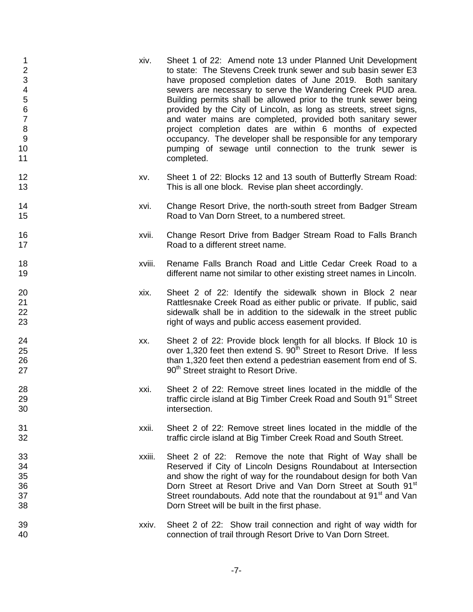| 1<br>$\overline{2}$<br>3<br>4567<br>$\,8\,$<br>$\boldsymbol{9}$<br>10<br>11 | xiv.   | Sheet 1 of 22: Amend note 13 under Planned Unit Development<br>to state: The Stevens Creek trunk sewer and sub basin sewer E3<br>have proposed completion dates of June 2019. Both sanitary<br>sewers are necessary to serve the Wandering Creek PUD area.<br>Building permits shall be allowed prior to the trunk sewer being<br>provided by the City of Lincoln, as long as streets, street signs,<br>and water mains are completed, provided both sanitary sewer<br>project completion dates are within 6 months of expected<br>occupancy. The developer shall be responsible for any temporary<br>pumping of sewage until connection to the trunk sewer is<br>completed. |
|-----------------------------------------------------------------------------|--------|------------------------------------------------------------------------------------------------------------------------------------------------------------------------------------------------------------------------------------------------------------------------------------------------------------------------------------------------------------------------------------------------------------------------------------------------------------------------------------------------------------------------------------------------------------------------------------------------------------------------------------------------------------------------------|
| 12<br>13                                                                    | XV.    | Sheet 1 of 22: Blocks 12 and 13 south of Butterfly Stream Road:<br>This is all one block. Revise plan sheet accordingly.                                                                                                                                                                                                                                                                                                                                                                                                                                                                                                                                                     |
| 14<br>15                                                                    | xvi.   | Change Resort Drive, the north-south street from Badger Stream<br>Road to Van Dorn Street, to a numbered street.                                                                                                                                                                                                                                                                                                                                                                                                                                                                                                                                                             |
| 16<br>17                                                                    | xvii.  | Change Resort Drive from Badger Stream Road to Falls Branch<br>Road to a different street name.                                                                                                                                                                                                                                                                                                                                                                                                                                                                                                                                                                              |
| 18<br>19                                                                    | xviii. | Rename Falls Branch Road and Little Cedar Creek Road to a<br>different name not similar to other existing street names in Lincoln.                                                                                                                                                                                                                                                                                                                                                                                                                                                                                                                                           |
| 20<br>21<br>22<br>23                                                        | xix.   | Sheet 2 of 22: Identify the sidewalk shown in Block 2 near<br>Rattlesnake Creek Road as either public or private. If public, said<br>sidewalk shall be in addition to the sidewalk in the street public<br>right of ways and public access easement provided.                                                                                                                                                                                                                                                                                                                                                                                                                |
| 24<br>25<br>26<br>27                                                        | XX.    | Sheet 2 of 22: Provide block length for all blocks. If Block 10 is<br>over 1,320 feet then extend S. 90 <sup>th</sup> Street to Resort Drive. If less<br>than 1,320 feet then extend a pedestrian easement from end of S.<br>90 <sup>th</sup> Street straight to Resort Drive.                                                                                                                                                                                                                                                                                                                                                                                               |
| 28<br>29<br>30                                                              | xxi.   | Sheet 2 of 22: Remove street lines located in the middle of the<br>traffic circle island at Big Timber Creek Road and South 91 <sup>st</sup> Street<br>intersection.                                                                                                                                                                                                                                                                                                                                                                                                                                                                                                         |
| 31<br>32                                                                    | xxii.  | Sheet 2 of 22: Remove street lines located in the middle of the<br>traffic circle island at Big Timber Creek Road and South Street.                                                                                                                                                                                                                                                                                                                                                                                                                                                                                                                                          |
| 33<br>34<br>35<br>36<br>37<br>38                                            | xxiii. | Sheet 2 of 22: Remove the note that Right of Way shall be<br>Reserved if City of Lincoln Designs Roundabout at Intersection<br>and show the right of way for the roundabout design for both Van<br>Dorn Street at Resort Drive and Van Dorn Street at South 91 <sup>st</sup><br>Street roundabouts. Add note that the roundabout at 91 <sup>st</sup> and Van<br>Dorn Street will be built in the first phase.                                                                                                                                                                                                                                                                |
| 39<br>40                                                                    | xxiv.  | Sheet 2 of 22: Show trail connection and right of way width for<br>connection of trail through Resort Drive to Van Dorn Street.                                                                                                                                                                                                                                                                                                                                                                                                                                                                                                                                              |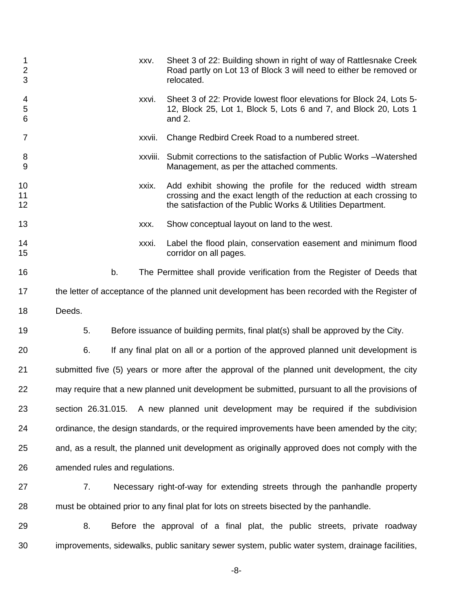| 1<br>$\overline{2}$<br>3 |        | XXV.                           | Sheet 3 of 22: Building shown in right of way of Rattlesnake Creek<br>Road partly on Lot 13 of Block 3 will need to either be removed or<br>relocated.                                             |
|--------------------------|--------|--------------------------------|----------------------------------------------------------------------------------------------------------------------------------------------------------------------------------------------------|
| 4<br>5<br>6              |        | XXVİ.                          | Sheet 3 of 22: Provide lowest floor elevations for Block 24, Lots 5-<br>12, Block 25, Lot 1, Block 5, Lots 6 and 7, and Block 20, Lots 1<br>and 2.                                                 |
| $\overline{7}$           |        | xxvii.                         | Change Redbird Creek Road to a numbered street.                                                                                                                                                    |
| 8<br>$9\,$               |        | XXVIII.                        | Submit corrections to the satisfaction of Public Works - Watershed<br>Management, as per the attached comments.                                                                                    |
| 10<br>11<br>12           |        | xxix.                          | Add exhibit showing the profile for the reduced width stream<br>crossing and the exact length of the reduction at each crossing to<br>the satisfaction of the Public Works & Utilities Department. |
| 13                       |        | XXX.                           | Show conceptual layout on land to the west.                                                                                                                                                        |
| 14<br>15                 |        | xxxi.                          | Label the flood plain, conservation easement and minimum flood<br>corridor on all pages.                                                                                                           |
| 16                       |        | b.                             | The Permittee shall provide verification from the Register of Deeds that                                                                                                                           |
| 17                       |        |                                | the letter of acceptance of the planned unit development has been recorded with the Register of                                                                                                    |
| 18                       | Deeds. |                                |                                                                                                                                                                                                    |
| 19                       | 5.     |                                | Before issuance of building permits, final plat(s) shall be approved by the City.                                                                                                                  |
| 20                       | 6.     |                                | If any final plat on all or a portion of the approved planned unit development is                                                                                                                  |
| 21                       |        |                                | submitted five (5) years or more after the approval of the planned unit development, the city                                                                                                      |
| 22                       |        |                                | may require that a new planned unit development be submitted, pursuant to all the provisions of                                                                                                    |
| 23                       |        |                                | section 26.31.015. A new planned unit development may be required if the subdivision                                                                                                               |
| 24                       |        |                                | ordinance, the design standards, or the required improvements have been amended by the city;                                                                                                       |
| 25                       |        |                                | and, as a result, the planned unit development as originally approved does not comply with the                                                                                                     |
| 26                       |        | amended rules and regulations. |                                                                                                                                                                                                    |
| 27                       | 7.     |                                | Necessary right-of-way for extending streets through the panhandle property                                                                                                                        |
| 28                       |        |                                | must be obtained prior to any final plat for lots on streets bisected by the panhandle.                                                                                                            |
| 29                       | 8.     |                                | Before the approval of a final plat, the public streets, private roadway                                                                                                                           |
| 30                       |        |                                | improvements, sidewalks, public sanitary sewer system, public water system, drainage facilities,                                                                                                   |

-8-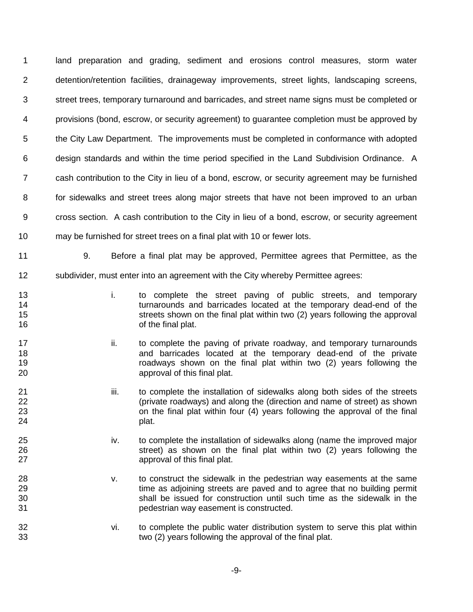land preparation and grading, sediment and erosions control measures, storm water detention/retention facilities, drainageway improvements, street lights, landscaping screens, street trees, temporary turnaround and barricades, and street name signs must be completed or provisions (bond, escrow, or security agreement) to guarantee completion must be approved by the City Law Department. The improvements must be completed in conformance with adopted design standards and within the time period specified in the Land Subdivision Ordinance. A cash contribution to the City in lieu of a bond, escrow, or security agreement may be furnished for sidewalks and street trees along major streets that have not been improved to an urban cross section. A cash contribution to the City in lieu of a bond, escrow, or security agreement may be furnished for street trees on a final plat with 10 or fewer lots. 9. Before a final plat may be approved, Permittee agrees that Permittee, as the

subdivider, must enter into an agreement with the City whereby Permittee agrees:

- 
- i. to complete the street paving of public streets, and temporary turnarounds and barricades located at the temporary dead-end of the **15** streets shown on the final plat within two (2) years following the approval **16** of the final plat.
- **ii.** to complete the paving of private roadway, and temporary turnarounds and barricades located at the temporary dead-end of the private roadways shown on the final plat within two (2) years following the approval of this final plat.
- **iii.** to complete the installation of sidewalks along both sides of the streets (private roadways) and along the (direction and name of street) as shown on the final plat within four (4) years following the approval of the final 24 plat.
- iv. to complete the installation of sidewalks along (name the improved major 26 31 street) as shown on the final plat within two (2) years following the 27 approval of this final plat.
- v. to construct the sidewalk in the pedestrian way easements at the same time as adjoining streets are paved and to agree that no building permit shall be issued for construction until such time as the sidewalk in the pedestrian way easement is constructed.
- vi. to complete the public water distribution system to serve this plat within two (2) years following the approval of the final plat.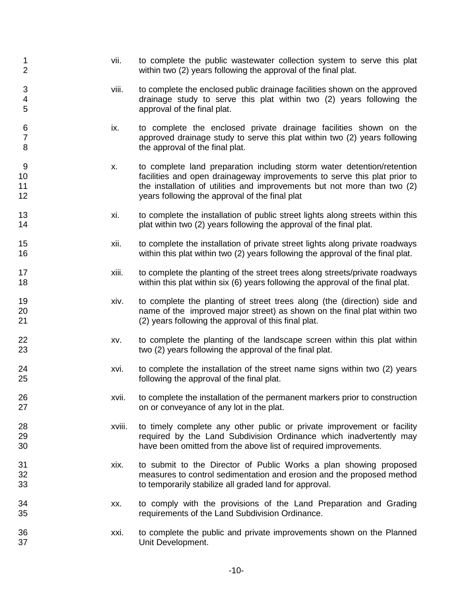1 vii. to complete the public wastewater collection system to serve this plat<br>2 vears following the approval of the final plat. within two (2) years following the approval of the final plat. viii. to complete the enclosed public drainage facilities shown on the approved drainage study to serve this plat within two (2) years following the approval of the final plat. ix. to complete the enclosed private drainage facilities shown on the approved drainage study to serve this plat within two (2) years following 8 b **8 the approval of the final plat.** 9 x. to complete land preparation including storm water detention/retention<br>10 facilities and open drainageway improvements to serve this plat prior to facilities and open drainageway improvements to serve this plat prior to the installation of utilities and improvements but not more than two (2) years following the approval of the final plat xi. to complete the installation of public street lights along streets within this **14 plat within two (2) years following the approval of the final plat.**  xii. to complete the installation of private street lights along private roadways within this plat within two (2) years following the approval of the final plat. xiii. to complete the planting of the street trees along streets/private roadways within this plat within six (6) years following the approval of the final plat. xiv. to complete the planting of street trees along (the (direction) side and name of the improved major street) as shown on the final plat within two (2) years following the approval of this final plat. 22 xv. to complete the planting of the landscape screen within this plat within two (2) years following the approval of the final plat. xvi. to complete the installation of the street name signs within two (2) years following the approval of the final plat. xvii. to complete the installation of the permanent markers prior to construction on or conveyance of any lot in the plat. xviii. to timely complete any other public or private improvement or facility required by the Land Subdivision Ordinance which inadvertently may have been omitted from the above list of required improvements. xix. to submit to the Director of Public Works a plan showing proposed measures to control sedimentation and erosion and the proposed method to temporarily stabilize all graded land for approval. xx. to comply with the provisions of the Land Preparation and Grading requirements of the Land Subdivision Ordinance. xxi. to complete the public and private improvements shown on the Planned Unit Development.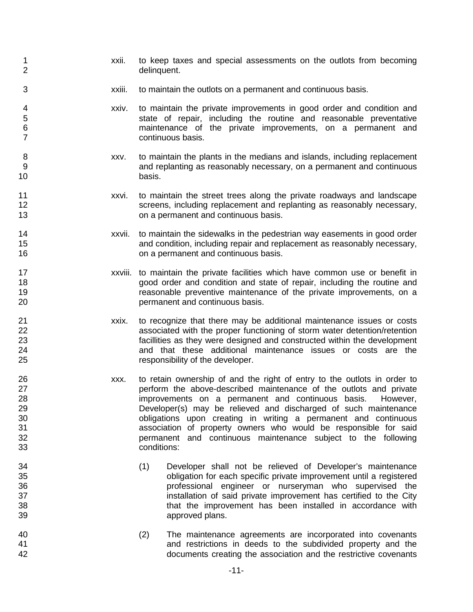-11- 1 1 xxii. to keep taxes and special assessments on the outlots from becoming<br>2 delinquent. xxiii. to maintain the outlots on a permanent and continuous basis. xxiv. to maintain the private improvements in good order and condition and state of repair, including the routine and reasonable preventative maintenance of the private improvements, on a permanent and continuous basis. 8 xxv. to maintain the plants in the medians and islands, including replacement<br>9 and replanting as reasonably necessary, on a permanent and continuous and replanting as reasonably necessary, on a permanent and continuous basis. xxvi. to maintain the street trees along the private roadways and landscape 12 screens, including replacement and replanting as reasonably necessary, on a permanent and continuous basis. xxvii. to maintain the sidewalks in the pedestrian way easements in good order and condition, including repair and replacement as reasonably necessary, on a permanent and continuous basis. xxviii. to maintain the private facilities which have common use or benefit in good order and condition and state of repair, including the routine and reasonable preventive maintenance of the private improvements, on a permanent and continuous basis. xxix. to recognize that there may be additional maintenance issues or costs associated with the proper functioning of storm water detention/retention 23 facillities as they were designed and constructed within the development<br>24 and that these additional maintenance issues or costs are the and that these additional maintenance issues or costs are the responsibility of the developer. xxx. to retain ownership of and the right of entry to the outlots in order to perform the above-described maintenance of the outlots and private improvements on a permanent and continuous basis. However, Developer(s) may be relieved and discharged of such maintenance obligations upon creating in writing a permanent and continuous 31 31 association of property owners who would be responsible for said<br>32 association of property owners who would be responsible for said permanent and continuous maintenance subject to the following conditions: (1) Developer shall not be relieved of Developer's maintenance obligation for each specific private improvement until a registered professional engineer or nurseryman who supervised the 37 installation of said private improvement has certified to the City<br>38 installed in accordance with that the improvement has been installed in accordance with approved plans. (2) The maintenance agreements are incorporated into covenants and restrictions in deeds to the subdivided property and the documents creating the association and the restrictive covenants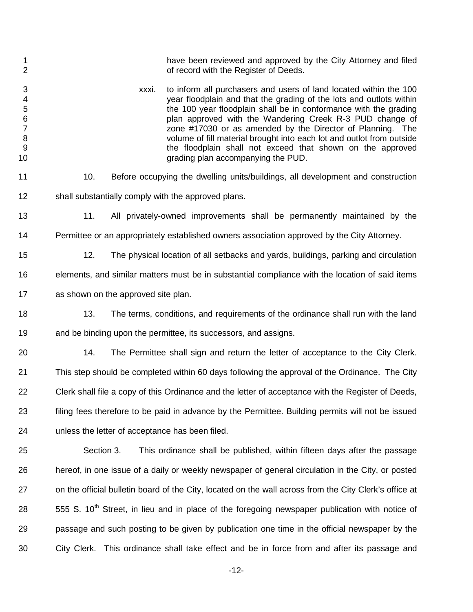- 1 have been reviewed and approved by the City Attorney and filed<br>2 contract of record with the Register of Deeds. of record with the Register of Deeds.
- 3 xxxi. to inform all purchasers and users of land located within the 100<br>vear floodplain and that the grading of the lots and outlots within year floodplain and that the grading of the lots and outlots within the 100 year floodplain shall be in conformance with the grading 6 **6** plan approved with the Wandering Creek R-3 PUD change of problem is a problem approved with the Wandering Creek R-3 PUD change of  $7 \times 7$  zone #17030 or as amended by the Director of Planning. The 8 volume of fill material brought into each lot and outlot from outside<br>9 the floodplain shall not exceed that shown on the approved 9 the floodplain shall not exceed that shown on the approved<br>10 the floodplain accompanying the PUD. grading plan accompanying the PUD.
- 10. Before occupying the dwelling units/buildings, all development and construction shall substantially comply with the approved plans.
- 11. All privately-owned improvements shall be permanently maintained by the Permittee or an appropriately established owners association approved by the City Attorney.
- 12. The physical location of all setbacks and yards, buildings, parking and circulation
	- elements, and similar matters must be in substantial compliance with the location of said items
	- as shown on the approved site plan.
	- 13. The terms, conditions, and requirements of the ordinance shall run with the land and be binding upon the permittee, its successors, and assigns.
	- 14. The Permittee shall sign and return the letter of acceptance to the City Clerk. This step should be completed within 60 days following the approval of the Ordinance. The City Clerk shall file a copy of this Ordinance and the letter of acceptance with the Register of Deeds, filing fees therefore to be paid in advance by the Permittee. Building permits will not be issued unless the letter of acceptance has been filed.
	- Section 3. This ordinance shall be published, within fifteen days after the passage hereof, in one issue of a daily or weekly newspaper of general circulation in the City, or posted on the official bulletin board of the City, located on the wall across from the City Clerk's office at 555 S. 10<sup>th</sup> Street, in lieu and in place of the foregoing newspaper publication with notice of passage and such posting to be given by publication one time in the official newspaper by the City Clerk. This ordinance shall take effect and be in force from and after its passage and